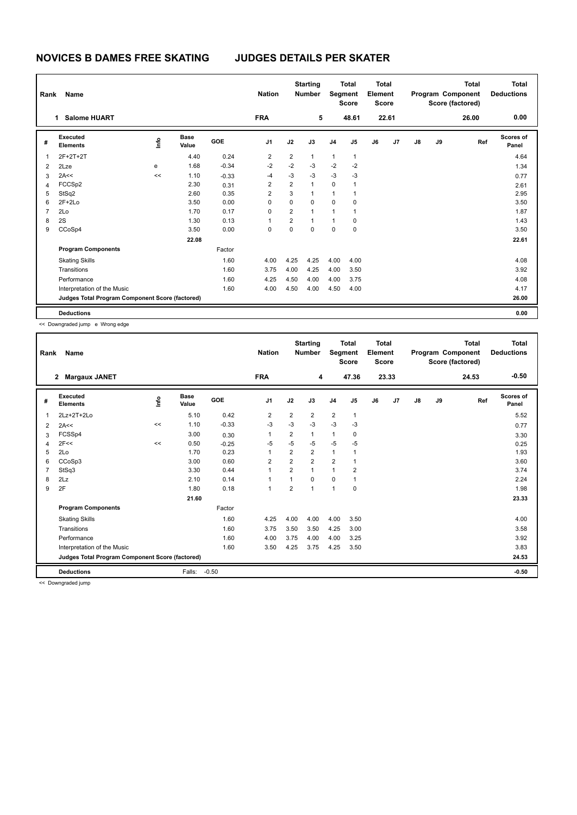|                | Name<br>Rank                                    |      |                      |            | <b>Nation</b>  |                | <b>Starting</b><br><b>Number</b> |                | <b>Total</b><br>Segment<br><b>Score</b> |    | <b>Total</b><br>Element<br><b>Score</b> |    |    | <b>Total</b><br>Program Component<br>Score (factored) | <b>Total</b><br><b>Deductions</b> |
|----------------|-------------------------------------------------|------|----------------------|------------|----------------|----------------|----------------------------------|----------------|-----------------------------------------|----|-----------------------------------------|----|----|-------------------------------------------------------|-----------------------------------|
|                | <b>Salome HUART</b><br>1.                       |      |                      |            | <b>FRA</b>     |                | 5                                |                | 48.61                                   |    | 22.61                                   |    |    | 26.00                                                 | 0.00                              |
| #              | Executed<br><b>Elements</b>                     | ١mfo | <b>Base</b><br>Value | <b>GOE</b> | J <sub>1</sub> | J2             | J3                               | J <sub>4</sub> | J <sub>5</sub>                          | J6 | J7                                      | J8 | J9 | Ref                                                   | Scores of<br>Panel                |
| 1              | 2F+2T+2T                                        |      | 4.40                 | 0.24       | $\overline{2}$ | $\overline{2}$ | $\mathbf{1}$                     | $\mathbf{1}$   | $\mathbf{1}$                            |    |                                         |    |    |                                                       | 4.64                              |
| $\overline{2}$ | 2Lze                                            | e    | 1.68                 | $-0.34$    | $-2$           | $-2$           | $-3$                             | $-2$           | $-2$                                    |    |                                         |    |    |                                                       | 1.34                              |
| 3              | 2A<<                                            | <<   | 1.10                 | $-0.33$    | $-4$           | $-3$           | $-3$                             | $-3$           | $-3$                                    |    |                                         |    |    |                                                       | 0.77                              |
| $\overline{4}$ | FCCSp2                                          |      | 2.30                 | 0.31       | 2              | 2              | $\mathbf{1}$                     | 0              | 1                                       |    |                                         |    |    |                                                       | 2.61                              |
| 5              | StSq2                                           |      | 2.60                 | 0.35       | $\overline{2}$ | 3              | $\mathbf{1}$                     | 1              | 1                                       |    |                                         |    |    |                                                       | 2.95                              |
| 6              | $2F+2Lo$                                        |      | 3.50                 | 0.00       | 0              | 0              | 0                                | 0              | 0                                       |    |                                         |    |    |                                                       | 3.50                              |
| $\overline{7}$ | 2Lo                                             |      | 1.70                 | 0.17       | 0              | $\overline{2}$ | $\mathbf{1}$                     | 1              | $\overline{1}$                          |    |                                         |    |    |                                                       | 1.87                              |
| 8              | 2S                                              |      | 1.30                 | 0.13       | 1              | 2              | $\mathbf{1}$                     | $\mathbf{1}$   | 0                                       |    |                                         |    |    |                                                       | 1.43                              |
| 9              | CCoSp4                                          |      | 3.50                 | 0.00       | 0              | 0              | $\mathbf 0$                      | 0              | 0                                       |    |                                         |    |    |                                                       | 3.50                              |
|                |                                                 |      | 22.08                |            |                |                |                                  |                |                                         |    |                                         |    |    |                                                       | 22.61                             |
|                | <b>Program Components</b>                       |      |                      | Factor     |                |                |                                  |                |                                         |    |                                         |    |    |                                                       |                                   |
|                | <b>Skating Skills</b>                           |      |                      | 1.60       | 4.00           | 4.25           | 4.25                             | 4.00           | 4.00                                    |    |                                         |    |    |                                                       | 4.08                              |
|                | Transitions                                     |      |                      | 1.60       | 3.75           | 4.00           | 4.25                             | 4.00           | 3.50                                    |    |                                         |    |    |                                                       | 3.92                              |
|                | Performance                                     |      |                      | 1.60       | 4.25           | 4.50           | 4.00                             | 4.00           | 3.75                                    |    |                                         |    |    |                                                       | 4.08                              |
|                | Interpretation of the Music                     |      |                      | 1.60       | 4.00           | 4.50           | 4.00                             | 4.50           | 4.00                                    |    |                                         |    |    |                                                       | 4.17                              |
|                | Judges Total Program Component Score (factored) |      |                      |            |                |                |                                  |                |                                         |    |                                         |    |    |                                                       | 26.00                             |
|                | <b>Deductions</b>                               |      |                      |            |                |                |                                  |                |                                         |    |                                         |    |    |                                                       | 0.00                              |

<< Downgraded jump e Wrong edge

| Rank | Name                                            |      |                      |         | <b>Nation</b>  |                | <b>Starting</b><br><b>Number</b> | Segment        | <b>Total</b><br><b>Score</b> | <b>Total</b><br>Element<br><b>Score</b> |       |               |    | <b>Total</b><br>Program Component<br>Score (factored) | <b>Total</b><br><b>Deductions</b> |
|------|-------------------------------------------------|------|----------------------|---------|----------------|----------------|----------------------------------|----------------|------------------------------|-----------------------------------------|-------|---------------|----|-------------------------------------------------------|-----------------------------------|
|      | $\mathbf{2}$<br><b>Margaux JANET</b>            |      |                      |         | <b>FRA</b>     |                | 4                                |                | 47.36                        |                                         | 23.33 |               |    | 24.53                                                 | $-0.50$                           |
| #    | Executed<br><b>Elements</b>                     | ١rfo | <b>Base</b><br>Value | GOE     | J <sub>1</sub> | J2             | J3                               | J4             | J5                           | J6                                      | J7    | $\mathsf{J}8$ | J9 | Ref                                                   | Scores of<br>Panel                |
| 1    | 2Lz+2T+2Lo                                      |      | 5.10                 | 0.42    | 2              | 2              | 2                                | $\overline{2}$ | 1                            |                                         |       |               |    |                                                       | 5.52                              |
| 2    | 2A<<                                            | <<   | 1.10                 | $-0.33$ | $-3$           | $-3$           | $-3$                             | $-3$           | $-3$                         |                                         |       |               |    |                                                       | 0.77                              |
| 3    | FCSSp4                                          |      | 3.00                 | 0.30    | $\mathbf{1}$   | 2              | 1                                | $\mathbf{1}$   | 0                            |                                         |       |               |    |                                                       | 3.30                              |
| 4    | 2F<<                                            | <<   | 0.50                 | $-0.25$ | $-5$           | $-5$           | $-5$                             | -5             | $-5$                         |                                         |       |               |    |                                                       | 0.25                              |
| 5    | 2Lo                                             |      | 1.70                 | 0.23    | 1              | $\overline{2}$ | $\overline{2}$                   | $\mathbf{1}$   | 1                            |                                         |       |               |    |                                                       | 1.93                              |
| 6    | CCoSp3                                          |      | 3.00                 | 0.60    | $\overline{2}$ | $\overline{2}$ | $\overline{2}$                   | $\overline{2}$ |                              |                                         |       |               |    |                                                       | 3.60                              |
| 7    | StSq3                                           |      | 3.30                 | 0.44    | $\mathbf{1}$   | $\overline{2}$ | $\overline{1}$                   | $\mathbf{1}$   | $\overline{2}$               |                                         |       |               |    |                                                       | 3.74                              |
| 8    | 2Lz                                             |      | 2.10                 | 0.14    | 1              | 1              | 0                                | $\mathbf 0$    | 1                            |                                         |       |               |    |                                                       | 2.24                              |
| 9    | 2F                                              |      | 1.80                 | 0.18    | $\mathbf{1}$   | $\overline{2}$ | $\overline{1}$                   | $\overline{1}$ | $\mathbf 0$                  |                                         |       |               |    |                                                       | 1.98                              |
|      |                                                 |      | 21.60                |         |                |                |                                  |                |                              |                                         |       |               |    |                                                       | 23.33                             |
|      | <b>Program Components</b>                       |      |                      | Factor  |                |                |                                  |                |                              |                                         |       |               |    |                                                       |                                   |
|      | <b>Skating Skills</b>                           |      |                      | 1.60    | 4.25           | 4.00           | 4.00                             | 4.00           | 3.50                         |                                         |       |               |    |                                                       | 4.00                              |
|      | Transitions                                     |      |                      | 1.60    | 3.75           | 3.50           | 3.50                             | 4.25           | 3.00                         |                                         |       |               |    |                                                       | 3.58                              |
|      | Performance                                     |      |                      | 1.60    | 4.00           | 3.75           | 4.00                             | 4.00           | 3.25                         |                                         |       |               |    |                                                       | 3.92                              |
|      | Interpretation of the Music                     |      |                      | 1.60    | 3.50           | 4.25           | 3.75                             | 4.25           | 3.50                         |                                         |       |               |    |                                                       | 3.83                              |
|      | Judges Total Program Component Score (factored) |      |                      |         |                |                |                                  |                |                              |                                         |       |               |    |                                                       | 24.53                             |
|      | <b>Deductions</b>                               |      | Falls:               | $-0.50$ |                |                |                                  |                |                              |                                         |       |               |    |                                                       | $-0.50$                           |
|      |                                                 |      |                      |         |                |                |                                  |                |                              |                                         |       |               |    |                                                       |                                   |

<< Downgraded jump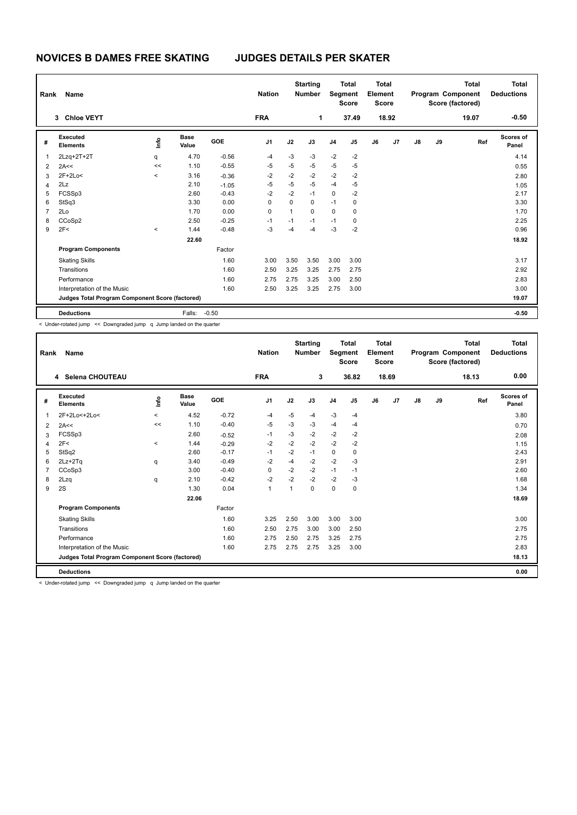| Rank           | Name                                            |         |                      |         | <b>Nation</b>  |             | <b>Starting</b><br><b>Number</b> | Segment        | <b>Total</b><br><b>Score</b> | <b>Total</b><br>Element<br><b>Score</b> |       |               |    | Total<br>Program Component<br>Score (factored) | <b>Total</b><br><b>Deductions</b> |
|----------------|-------------------------------------------------|---------|----------------------|---------|----------------|-------------|----------------------------------|----------------|------------------------------|-----------------------------------------|-------|---------------|----|------------------------------------------------|-----------------------------------|
|                | 3 Chloe VEYT                                    |         |                      |         | <b>FRA</b>     |             | 1                                |                | 37.49                        |                                         | 18.92 |               |    | 19.07                                          | $-0.50$                           |
| #              | Executed<br><b>Elements</b>                     | ١mfo    | <b>Base</b><br>Value | GOE     | J <sub>1</sub> | J2          | J3                               | J <sub>4</sub> | J <sub>5</sub>               | J6                                      | J7    | $\mathsf{J}8$ | J9 | Ref                                            | Scores of<br>Panel                |
| 1              | $2Lzq+2T+2T$                                    | q       | 4.70                 | $-0.56$ | $-4$           | $-3$        | -3                               | $-2$           | $-2$                         |                                         |       |               |    |                                                | 4.14                              |
| 2              | 2A<<                                            | <<      | 1.10                 | $-0.55$ | $-5$           | $-5$        | $-5$                             | $-5$           | $-5$                         |                                         |       |               |    |                                                | 0.55                              |
| 3              | $2F+2Lo<$                                       | $\,<\,$ | 3.16                 | $-0.36$ | $-2$           | $-2$        | $-2$                             | $-2$           | $-2$                         |                                         |       |               |    |                                                | 2.80                              |
| 4              | 2Lz                                             |         | 2.10                 | $-1.05$ | $-5$           | $-5$        | $-5$                             | $-4$           | $-5$                         |                                         |       |               |    |                                                | 1.05                              |
| 5              | FCSSp3                                          |         | 2.60                 | $-0.43$ | $-2$           | $-2$        | $-1$                             | $\mathbf 0$    | $-2$                         |                                         |       |               |    |                                                | 2.17                              |
| 6              | StSq3                                           |         | 3.30                 | 0.00    | 0              | $\mathbf 0$ | 0                                | $-1$           | 0                            |                                         |       |               |    |                                                | 3.30                              |
| $\overline{7}$ | 2Lo                                             |         | 1.70                 | 0.00    | 0              | 1           | $\mathbf 0$                      | $\mathbf 0$    | 0                            |                                         |       |               |    |                                                | 1.70                              |
| 8              | CCoSp2                                          |         | 2.50                 | $-0.25$ | $-1$           | $-1$        | $-1$                             | $-1$           | 0                            |                                         |       |               |    |                                                | 2.25                              |
| 9              | 2F<                                             | $\prec$ | 1.44                 | $-0.48$ | $-3$           | $-4$        | -4                               | $-3$           | $-2$                         |                                         |       |               |    |                                                | 0.96                              |
|                |                                                 |         | 22.60                |         |                |             |                                  |                |                              |                                         |       |               |    |                                                | 18.92                             |
|                | <b>Program Components</b>                       |         |                      | Factor  |                |             |                                  |                |                              |                                         |       |               |    |                                                |                                   |
|                | <b>Skating Skills</b>                           |         |                      | 1.60    | 3.00           | 3.50        | 3.50                             | 3.00           | 3.00                         |                                         |       |               |    |                                                | 3.17                              |
|                | Transitions                                     |         |                      | 1.60    | 2.50           | 3.25        | 3.25                             | 2.75           | 2.75                         |                                         |       |               |    |                                                | 2.92                              |
|                | Performance                                     |         |                      | 1.60    | 2.75           | 2.75        | 3.25                             | 3.00           | 2.50                         |                                         |       |               |    |                                                | 2.83                              |
|                | Interpretation of the Music                     |         |                      | 1.60    | 2.50           | 3.25        | 3.25                             | 2.75           | 3.00                         |                                         |       |               |    |                                                | 3.00                              |
|                | Judges Total Program Component Score (factored) |         |                      |         |                |             |                                  |                |                              |                                         |       |               |    |                                                | 19.07                             |
|                | <b>Deductions</b>                               |         | Falls:               | $-0.50$ |                |             |                                  |                |                              |                                         |       |               |    |                                                | $-0.50$                           |

< Under-rotated jump << Downgraded jump q Jump landed on the quarter

| Rank | Name                                            |         |                      |         | <b>Nation</b>  |      | <b>Starting</b><br><b>Number</b> | Segment        | <b>Total</b><br><b>Score</b> | <b>Total</b><br>Element<br><b>Score</b> |       |               |    | <b>Total</b><br>Program Component<br>Score (factored) | Total<br><b>Deductions</b> |
|------|-------------------------------------------------|---------|----------------------|---------|----------------|------|----------------------------------|----------------|------------------------------|-----------------------------------------|-------|---------------|----|-------------------------------------------------------|----------------------------|
|      | 4 Selena CHOUTEAU                               |         |                      |         | <b>FRA</b>     |      | 3                                |                | 36.82                        |                                         | 18.69 |               |    | 18.13                                                 | 0.00                       |
| #    | Executed<br><b>Elements</b>                     | info    | <b>Base</b><br>Value | GOE     | J <sub>1</sub> | J2   | J3                               | J <sub>4</sub> | J5                           | J6                                      | J7    | $\mathsf{J}8$ | J9 | Ref                                                   | Scores of<br>Panel         |
| 1    | 2F+2Lo<+2Lo<                                    | $\prec$ | 4.52                 | $-0.72$ | $-4$           | $-5$ | $-4$                             | $-3$           | $-4$                         |                                         |       |               |    |                                                       | 3.80                       |
| 2    | 2A<<                                            | <<      | 1.10                 | $-0.40$ | -5             | $-3$ | -3                               | -4             | $-4$                         |                                         |       |               |    |                                                       | 0.70                       |
| 3    | FCSSp3                                          |         | 2.60                 | $-0.52$ | $-1$           | $-3$ | $-2$                             | $-2$           | $-2$                         |                                         |       |               |    |                                                       | 2.08                       |
| 4    | 2F<                                             | $\,<\,$ | 1.44                 | $-0.29$ | $-2$           | $-2$ | $-2$                             | $-2$           | $-2$                         |                                         |       |               |    |                                                       | 1.15                       |
| 5    | StSq2                                           |         | 2.60                 | $-0.17$ | $-1$           | $-2$ | $-1$                             | 0              | 0                            |                                         |       |               |    |                                                       | 2.43                       |
| 6    | $2Lz + 2Tq$                                     | q       | 3.40                 | $-0.49$ | $-2$           | $-4$ | $-2$                             | $-2$           | $-3$                         |                                         |       |               |    |                                                       | 2.91                       |
| 7    | CCoSp3                                          |         | 3.00                 | $-0.40$ | $\Omega$       | $-2$ | $-2$                             | $-1$           | $-1$                         |                                         |       |               |    |                                                       | 2.60                       |
| 8    | 2Lzq                                            | q       | 2.10                 | $-0.42$ | $-2$           | $-2$ | $-2$                             | $-2$           | $-3$                         |                                         |       |               |    |                                                       | 1.68                       |
| 9    | 2S                                              |         | 1.30                 | 0.04    | $\mathbf{1}$   | 1    | $\Omega$                         | $\mathbf 0$    | 0                            |                                         |       |               |    |                                                       | 1.34                       |
|      |                                                 |         | 22.06                |         |                |      |                                  |                |                              |                                         |       |               |    |                                                       | 18.69                      |
|      | <b>Program Components</b>                       |         |                      | Factor  |                |      |                                  |                |                              |                                         |       |               |    |                                                       |                            |
|      | <b>Skating Skills</b>                           |         |                      | 1.60    | 3.25           | 2.50 | 3.00                             | 3.00           | 3.00                         |                                         |       |               |    |                                                       | 3.00                       |
|      | Transitions                                     |         |                      | 1.60    | 2.50           | 2.75 | 3.00                             | 3.00           | 2.50                         |                                         |       |               |    |                                                       | 2.75                       |
|      | Performance                                     |         |                      | 1.60    | 2.75           | 2.50 | 2.75                             | 3.25           | 2.75                         |                                         |       |               |    |                                                       | 2.75                       |
|      | Interpretation of the Music                     |         |                      | 1.60    | 2.75           | 2.75 | 2.75                             | 3.25           | 3.00                         |                                         |       |               |    |                                                       | 2.83                       |
|      | Judges Total Program Component Score (factored) |         |                      |         |                |      |                                  |                |                              |                                         |       |               |    |                                                       | 18.13                      |
|      | <b>Deductions</b>                               |         |                      |         |                |      |                                  |                |                              |                                         |       |               |    |                                                       | 0.00                       |

< Under-rotated jump << Downgraded jump q Jump landed on the quarter